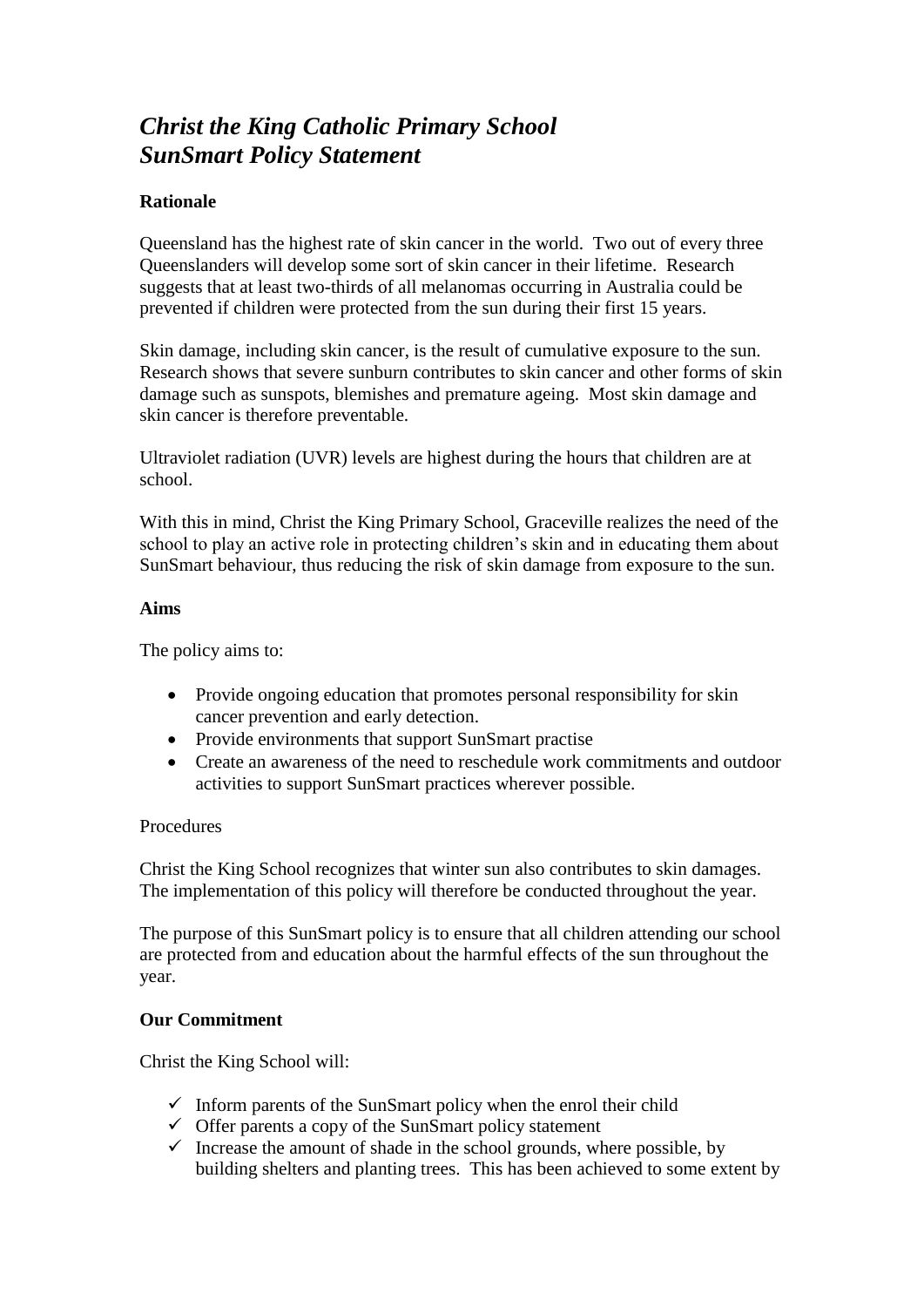# *Christ the King Catholic Primary School SunSmart Policy Statement*

## **Rationale**

Queensland has the highest rate of skin cancer in the world. Two out of every three Queenslanders will develop some sort of skin cancer in their lifetime. Research suggests that at least two-thirds of all melanomas occurring in Australia could be prevented if children were protected from the sun during their first 15 years.

Skin damage, including skin cancer, is the result of cumulative exposure to the sun. Research shows that severe sunburn contributes to skin cancer and other forms of skin damage such as sunspots, blemishes and premature ageing. Most skin damage and skin cancer is therefore preventable.

Ultraviolet radiation (UVR) levels are highest during the hours that children are at school.

With this in mind, Christ the King Primary School, Graceville realizes the need of the school to play an active role in protecting children's skin and in educating them about SunSmart behaviour, thus reducing the risk of skin damage from exposure to the sun.

#### **Aims**

The policy aims to:

- Provide ongoing education that promotes personal responsibility for skin cancer prevention and early detection.
- Provide environments that support SunSmart practise
- Create an awareness of the need to reschedule work commitments and outdoor activities to support SunSmart practices wherever possible.

#### **Procedures**

Christ the King School recognizes that winter sun also contributes to skin damages. The implementation of this policy will therefore be conducted throughout the year.

The purpose of this SunSmart policy is to ensure that all children attending our school are protected from and education about the harmful effects of the sun throughout the year.

### **Our Commitment**

Christ the King School will:

- $\checkmark$  Inform parents of the SunSmart policy when the enrol their child
- $\checkmark$  Offer parents a copy of the SunSmart policy statement
- $\checkmark$  Increase the amount of shade in the school grounds, where possible, by building shelters and planting trees. This has been achieved to some extent by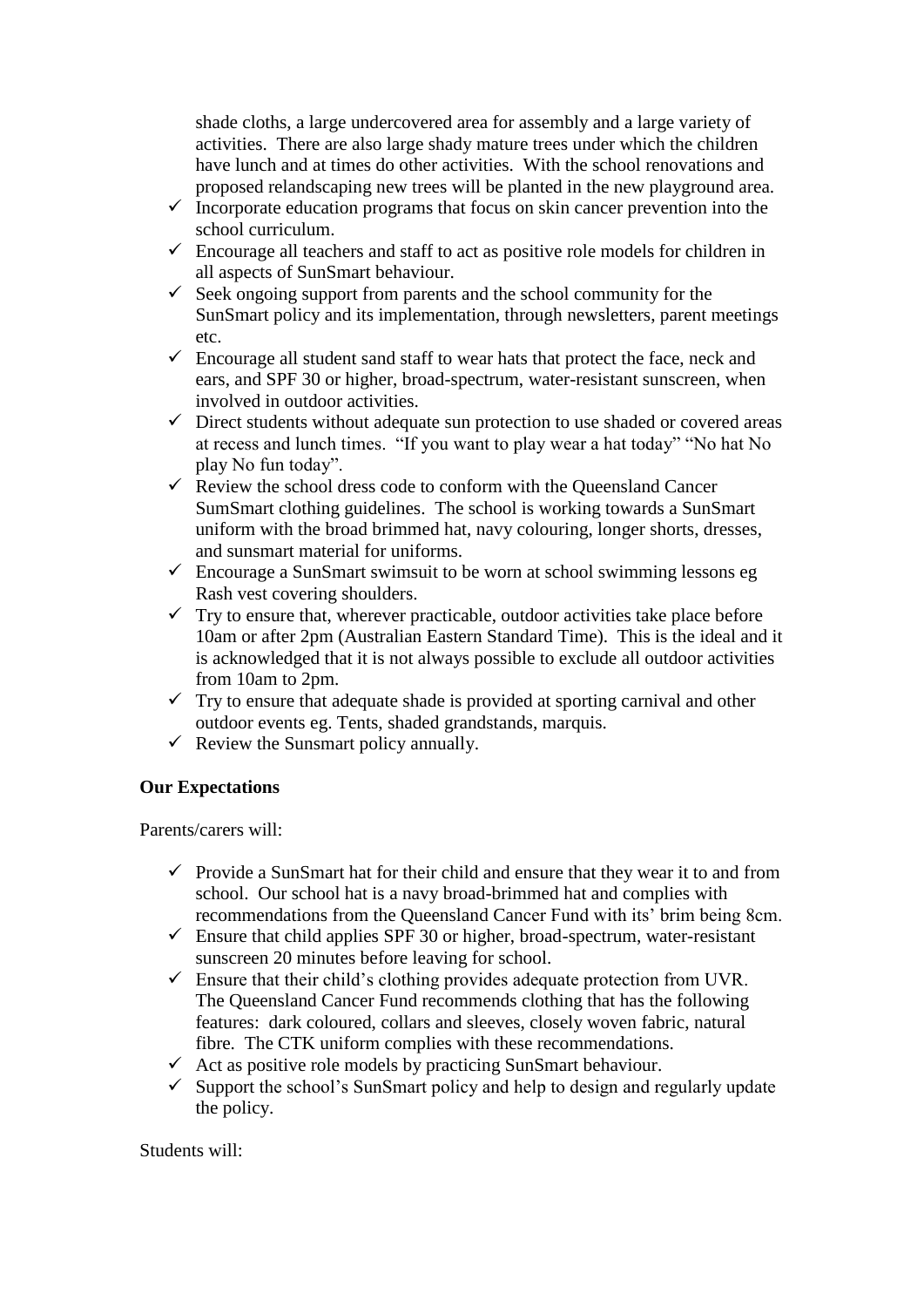shade cloths, a large undercovered area for assembly and a large variety of activities. There are also large shady mature trees under which the children have lunch and at times do other activities. With the school renovations and proposed relandscaping new trees will be planted in the new playground area.

- $\checkmark$  Incorporate education programs that focus on skin cancer prevention into the school curriculum.
- $\checkmark$  Encourage all teachers and staff to act as positive role models for children in all aspects of SunSmart behaviour.
- $\checkmark$  Seek ongoing support from parents and the school community for the SunSmart policy and its implementation, through newsletters, parent meetings etc.
- $\checkmark$  Encourage all student sand staff to wear hats that protect the face, neck and ears, and SPF 30 or higher, broad-spectrum, water-resistant sunscreen, when involved in outdoor activities.
- $\checkmark$  Direct students without adequate sun protection to use shaded or covered areas at recess and lunch times. "If you want to play wear a hat today" "No hat No play No fun today".
- $\overrightarrow{R}$  Review the school dress code to conform with the Queensland Cancer SumSmart clothing guidelines. The school is working towards a SunSmart uniform with the broad brimmed hat, navy colouring, longer shorts, dresses, and sunsmart material for uniforms.
- $\checkmark$  Encourage a SunSmart swimsuit to be worn at school swimming lessons eg Rash vest covering shoulders.
- $\checkmark$  Try to ensure that, wherever practicable, outdoor activities take place before 10am or after 2pm (Australian Eastern Standard Time). This is the ideal and it is acknowledged that it is not always possible to exclude all outdoor activities from 10am to 2pm.
- $\checkmark$  Try to ensure that adequate shade is provided at sporting carnival and other outdoor events eg. Tents, shaded grandstands, marquis.
- $\checkmark$  Review the Sunsmart policy annually.

# **Our Expectations**

Parents/carers will:

- $\checkmark$  Provide a SunSmart hat for their child and ensure that they wear it to and from school. Our school hat is a navy broad-brimmed hat and complies with recommendations from the Queensland Cancer Fund with its' brim being 8cm.
- $\checkmark$  Ensure that child applies SPF 30 or higher, broad-spectrum, water-resistant sunscreen 20 minutes before leaving for school.
- $\checkmark$  Ensure that their child's clothing provides adequate protection from UVR. The Queensland Cancer Fund recommends clothing that has the following features: dark coloured, collars and sleeves, closely woven fabric, natural fibre. The CTK uniform complies with these recommendations.
- $\checkmark$  Act as positive role models by practicing SunSmart behaviour.
- $\checkmark$  Support the school's SunSmart policy and help to design and regularly update the policy.

Students will: